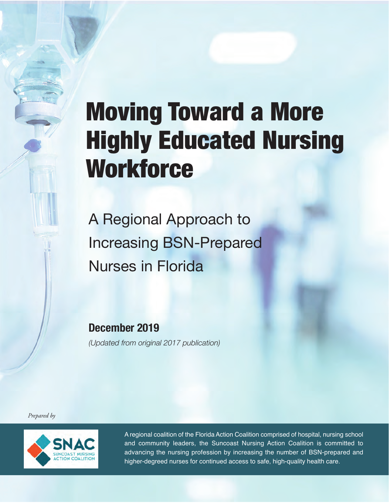# Moving Toward a More Highly Educated Nursing **Workforce**

A Regional Approach to Increasing BSN-Prepared Nurses in Florida

**December 2019**

*(Updated from original 2017 publication)* 

*Prepared by*



A regional coalition of the Florida Action Coalition comprised of hospital, nursing school and community leaders, the Suncoast Nursing Action Coalition is committed to advancing the nursing profession by increasing the number of BSN-prepared and higher-degreed nurses for continued access to safe, high-quality health care.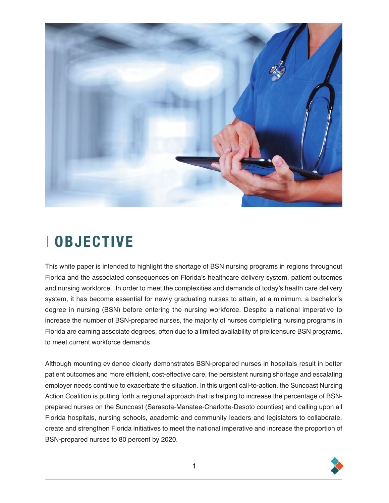

### x **OBJECTIVE**

This white paper is intended to highlight the shortage of BSN nursing programs in regions throughout Florida and the associated consequences on Florida's healthcare delivery system, patient outcomes and nursing workforce. In order to meet the complexities and demands of today's health care delivery system, it has become essential for newly graduating nurses to attain, at a minimum, a bachelor's degree in nursing (BSN) before entering the nursing workforce. Despite a national imperative to increase the number of BSN-prepared nurses, the majority of nurses completing nursing programs in Florida are earning associate degrees, often due to a limited availability of prelicensure BSN programs, to meet current workforce demands.

Although mounting evidence clearly demonstrates BSN-prepared nurses in hospitals result in better patient outcomes and more efficient, cost-effective care, the persistent nursing shortage and escalating employer needs continue to exacerbate the situation. In this urgent call-to-action, the Suncoast Nursing Action Coalition is putting forth a regional approach that is helping to increase the percentage of BSNprepared nurses on the Suncoast (Sarasota-Manatee-Charlotte-Desoto counties) and calling upon all Florida hospitals, nursing schools, academic and community leaders and legislators to collaborate, create and strengthen Florida initiatives to meet the national imperative and increase the proportion of BSN-prepared nurses to 80 percent by 2020.

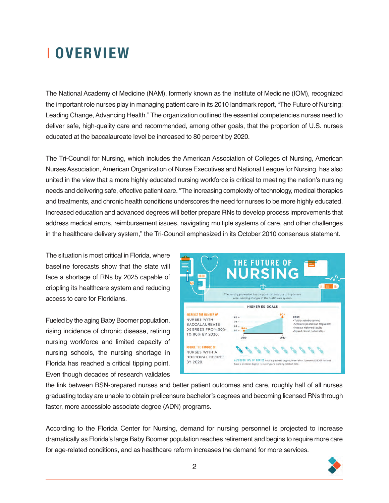## **I OVERVIEW**

The National Academy of Medicine (NAM), formerly known as the Institute of Medicine (IOM), recognized the important role nurses play in managing patient care in its 2010 landmark report, "The Future of Nursing: Leading Change, Advancing Health." The organization outlined the essential competencies nurses need to deliver safe, high-quality care and recommended, among other goals, that the proportion of U.S. nurses educated at the baccalaureate level be increased to 80 percent by 2020.

The Tri-Council for Nursing, which includes the American Association of Colleges of Nursing, American Nurses Association, American Organization of Nurse Executives and National League for Nursing, has also united in the view that a more highly educated nursing workforce is critical to meeting the nation's nursing needs and delivering safe, effective patient care. "The increasing complexity of technology, medical therapies and treatments, and chronic health conditions underscores the need for nurses to be more highly educated. Increased education and advanced degrees will better prepare RNs to develop process improvements that address medical errors, reimbursement issues, navigating multiple systems of care, and other challenges in the healthcare delivery system," the Tri-Council emphasized in its October 2010 consensus statement.

The situation is most critical in Florida, where baseline forecasts show that the state will face a shortage of RNs by 2025 capable of crippling its healthcare system and reducing access to care for Floridians.

Fueled by the aging Baby Boomer population, rising incidence of chronic disease, retiring nursing workforce and limited capacity of nursing schools, the nursing shortage in Florida has reached a critical tipping point. Even though decades of research validates



the link between BSN-prepared nurses and better patient outcomes and care, roughly half of all nurses graduating today are unable to obtain prelicensure bachelor's degrees and becoming licensed RNs through faster, more accessible associate degree (ADN) programs.

According to the Florida Center for Nursing, demand for nursing personnel is projected to increase dramatically as Florida's large Baby Boomer population reaches retirement and begins to require more care for age-related conditions, and as healthcare reform increases the demand for more services.

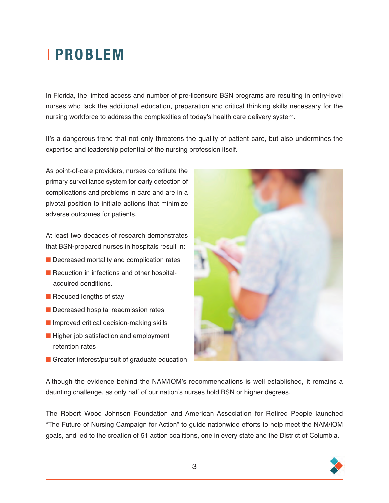### x **PROBLEM**

In Florida, the limited access and number of pre-licensure BSN programs are resulting in entry-level nurses who lack the additional education, preparation and critical thinking skills necessary for the nursing workforce to address the complexities of today's health care delivery system.

It's a dangerous trend that not only threatens the quality of patient care, but also undermines the expertise and leadership potential of the nursing profession itself.

As point-of-care providers, nurses constitute the primary surveillance system for early detection of complications and problems in care and are in a pivotal position to initiate actions that minimize adverse outcomes for patients.

At least two decades of research demonstrates that BSN-prepared nurses in hospitals result in:

- $\blacksquare$  Decreased mortality and complication rates
- Reduction in infections and other hospitalacquired conditions.
- $\blacksquare$  Reduced lengths of stay
- Decreased hospital readmission rates
- $\blacksquare$  Improved critical decision-making skills
- $\blacksquare$  Higher job satisfaction and employment retention rates
- $\blacksquare$  Greater interest/pursuit of graduate education



Although the evidence behind the NAM/IOM's recommendations is well established, it remains a daunting challenge, as only half of our nation's nurses hold BSN or higher degrees.

The Robert Wood Johnson Foundation and American Association for Retired People launched "The Future of Nursing Campaign for Action" to guide nationwide efforts to help meet the NAM/IOM goals, and led to the creation of 51 action coalitions, one in every state and the District of Columbia.

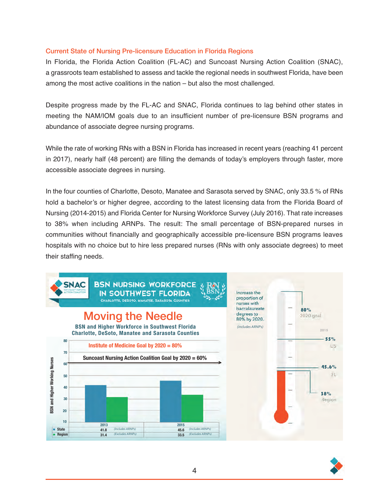#### Current State of Nursing Pre-licensure Education in Florida Regions

In Florida, the Florida Action Coalition (FL-AC) and Suncoast Nursing Action Coalition (SNAC), a grassroots team established to assess and tackle the regional needs in southwest Florida, have been among the most active coalitions in the nation – but also the most challenged.

Despite progress made by the FL-AC and SNAC, Florida continues to lag behind other states in meeting the NAM/IOM goals due to an insufficient number of pre-licensure BSN programs and abundance of associate degree nursing programs.

While the rate of working RNs with a BSN in Florida has increased in recent years (reaching 41 percent in 2017), nearly half (48 percent) are filling the demands of today's employers through faster, more accessible associate degrees in nursing.

In the four counties of Charlotte, Desoto, Manatee and Sarasota served by SNAC, only 33.5 % of RNs hold a bachelor's or higher degree, according to the latest licensing data from the Florida Board of Nursing (2014-2015) and Florida Center for Nursing Workforce Survey (July 2016). That rate increases to 38% when including ARNPs. The result: The small percentage of BSN-prepared nurses in communities without financially and geographically accessible pre-licensure BSN programs leaves hospitals with no choice but to hire less prepared nurses (RNs with only associate degrees) to meet their staffing needs.



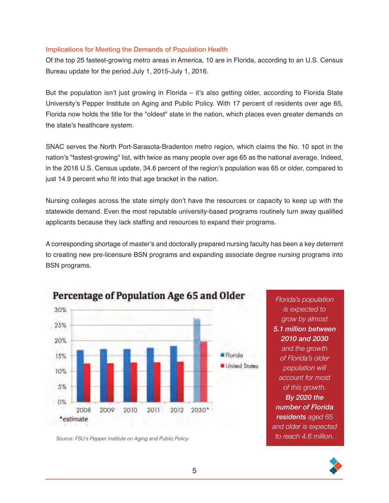#### Implications for Meeting the Demands of Population Health

Of the top 25 fastest-growing metro areas in America, 10 are in Florida, according to an U.S. Census Bureau update for the period July 1, 2015-July 1, 2016.

But the population isn't just growing in Florida – it's also getting older, according to Florida State University's Pepper Institute on Aging and Public Policy. With 17 percent of residents over age 65, Florida now holds the title for the "oldest" state in the nation, which places even greater demands on the state's healthcare system.

SNAC serves the North Port-Sarasota-Bradenton metro region, which claims the No. 10 spot in the nation's "fastest-growing" list, with twice as many people over age 65 as the national average. Indeed, in the 2016 U.S. Census update, 34.6 percent of the region's population was 65 or older, compared to just 14.9 percent who fit into that age bracket in the nation.

Nursing colleges across the state simply don't have the resources or capacity to keep up with the statewide demand. Even the most reputable university-based programs routinely turn away qualified applicants because they lack staffing and resources to expand their programs.

A corresponding shortage of master's and doctorally prepared nursing faculty has been a key deterrent to creating new pre-licensure BSN programs and expanding associate degree nursing programs into BSN programs.



Source: FSU's Pepper Institute on Aging and Public Policy

*Florida's population is expected to grow by almost 5.1 million between 2010 and 2030 and the growth of Florida's older population will account for most of this growth. By 2020 the number of Florida residents aged 65 and older is expected to reach 4.6 million.*

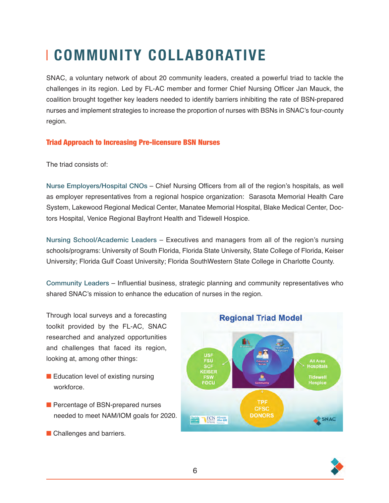# *COMMUNITY COLLABORATIVE*

SNAC, a voluntary network of about 20 community leaders, created a powerful triad to tackle the challenges in its region. Led by FL-AC member and former Chief Nursing Officer Jan Mauck, the coalition brought together key leaders needed to identify barriers inhibiting the rate of BSN-prepared nurses and implement strategies to increase the proportion of nurses with BSNs in SNAC's four-county region.

#### Triad Approach to Increasing Pre-licensure BSN Nurses

The triad consists of:

Nurse Employers/Hospital CNOs – Chief Nursing Officers from all of the region's hospitals, as well as employer representatives from a regional hospice organization: Sarasota Memorial Health Care System, Lakewood Regional Medical Center, Manatee Memorial Hospital, Blake Medical Center, Doctors Hospital, Venice Regional Bayfront Health and Tidewell Hospice.

Nursing School/Academic Leaders – Executives and managers from all of the region's nursing schools/programs: University of South Florida, Florida State University, State College of Florida, Keiser University; Florida Gulf Coast University; Florida SouthWestern State College in Charlotte County.

Community Leaders – Influential business, strategic planning and community representatives who shared SNAC's mission to enhance the education of nurses in the region.

Through local surveys and a forecasting toolkit provided by the FL-AC, SNAC researched and analyzed opportunities and challenges that faced its region, looking at, among other things:

- Education level of existing nursing workforce.
- **n** Percentage of BSN-prepared nurses needed to meet NAM/IOM goals for 2020.
- **n** Challenges and barriers.



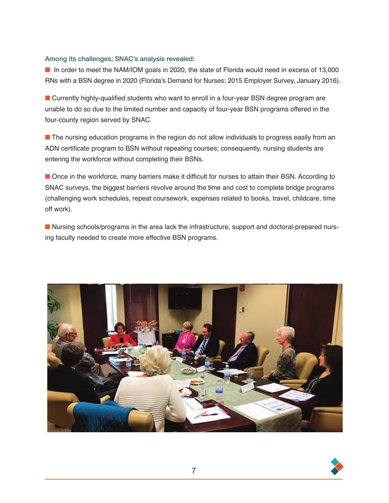#### Among its challenges, SNAC's analysis revealed:

■ In order to meet the NAM/IOM goals in 2020, the state of Florida would need in excess of 13,000 RNs with a BSN degree in 2020 (Florida's Demand for Nurses: 2015 Employer Survey, January 2016).

**n** Currently highly-qualified students who want to enroll in a four-year BSN degree program are unable to do so due to the limited number and capacity of four-year BSN programs offered in the four-county region served by SNAC.

**n** The nursing education programs in the region do not allow individuals to progress easily from an ADN certificate program to BSN without repeating courses; consequently, nursing students are entering the workforce without completing their BSNs.

**n** Once in the workforce, many barriers make it difficult for nurses to attain their BSN. According to SNAC surveys, the biggest barriers revolve around the time and cost to complete bridge programs (challenging work schedules, repeat coursework, expenses related to books, travel, childcare, time off work).

■ Nursing schools/programs in the area lack the infrastructure, support and doctoral-prepared nursing faculty needed to create more effective BSN programs.



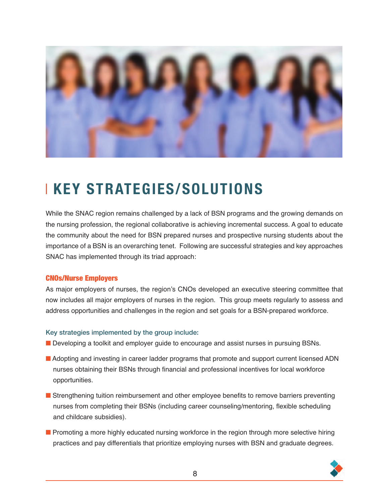

### **KEY STRATEGIES/SOLUTIONS**

While the SNAC region remains challenged by a lack of BSN programs and the growing demands on the nursing profession, the regional collaborative is achieving incremental success. A goal to educate the community about the need for BSN prepared nurses and prospective nursing students about the importance of a BSN is an overarching tenet. Following are successful strategies and key approaches SNAC has implemented through its triad approach:

#### CNOs/Nurse Employers

As major employers of nurses, the region's CNOs developed an executive steering committee that now includes all major employers of nurses in the region. This group meets regularly to assess and address opportunities and challenges in the region and set goals for a BSN-prepared workforce.

#### Key strategies implemented by the group include:

- **n** Developing a toolkit and employer quide to encourage and assist nurses in pursuing BSNs.
- Adopting and investing in career ladder programs that promote and support current licensed ADN nurses obtaining their BSNs through financial and professional incentives for local workforce opportunities.
- **n** Strengthening tuition reimbursement and other employee benefits to remove barriers preventing nurses from completing their BSNs (including career counseling/mentoring, flexible scheduling and childcare subsidies).
- **n** Promoting a more highly educated nursing workforce in the region through more selective hiring practices and pay differentials that prioritize employing nurses with BSN and graduate degrees.

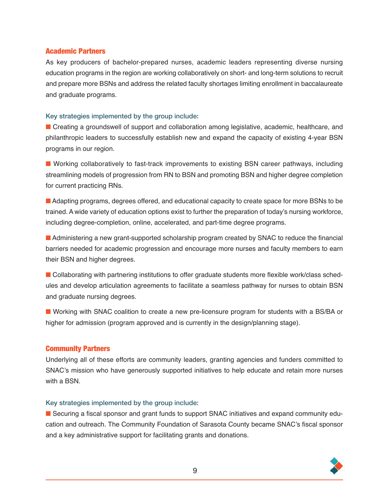#### Academic Partners

As key producers of bachelor-prepared nurses, academic leaders representing diverse nursing education programs in the region are working collaboratively on short- and long-term solutions to recruit and prepare more BSNs and address the related faculty shortages limiting enrollment in baccalaureate and graduate programs.

#### Key strategies implemented by the group include:

**n** Creating a groundswell of support and collaboration among legislative, academic, healthcare, and philanthropic leaders to successfully establish new and expand the capacity of existing 4-year BSN programs in our region.

**n** Working collaboratively to fast-track improvements to existing BSN career pathways, including streamlining models of progression from RN to BSN and promoting BSN and higher degree completion for current practicing RNs.

■ Adapting programs, degrees offered, and educational capacity to create space for more BSNs to be trained. A wide variety of education options exist to further the preparation of today's nursing workforce, including degree-completion, online, accelerated, and part-time degree programs.

■ Administering a new grant-supported scholarship program created by SNAC to reduce the financial barriers needed for academic progression and encourage more nurses and faculty members to earn their BSN and higher degrees.

■ Collaborating with partnering institutions to offer graduate students more flexible work/class schedules and develop articulation agreements to facilitate a seamless pathway for nurses to obtain BSN and graduate nursing degrees.

■ Working with SNAC coalition to create a new pre-licensure program for students with a BS/BA or higher for admission (program approved and is currently in the design/planning stage).

#### Community Partners

Underlying all of these efforts are community leaders, granting agencies and funders committed to SNAC's mission who have generously supported initiatives to help educate and retain more nurses with a BSN.

#### Key strategies implemented by the group include:

**n** Securing a fiscal sponsor and grant funds to support SNAC initiatives and expand community education and outreach. The Community Foundation of Sarasota County became SNAC's fiscal sponsor and a key administrative support for facilitating grants and donations.

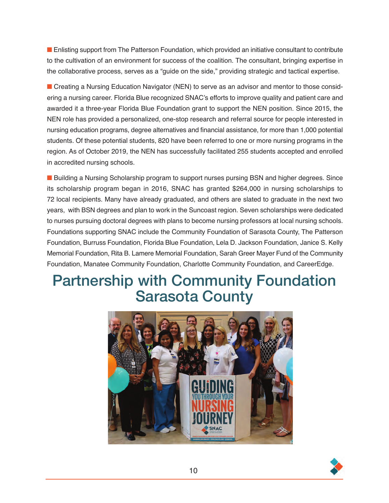**n** Enlisting support from The Patterson Foundation, which provided an initiative consultant to contribute to the cultivation of an environment for success of the coalition. The consultant, bringing expertise in the collaborative process, serves as a "guide on the side," providing strategic and tactical expertise.

**n** Creating a Nursing Education Navigator (NEN) to serve as an advisor and mentor to those considering a nursing career. Florida Blue recognized SNAC's efforts to improve quality and patient care and awarded it a three-year Florida Blue Foundation grant to support the NEN position. Since 2015, the NEN role has provided a personalized, one-stop research and referral source for people interested in nursing education programs, degree alternatives and financial assistance, for more than 1,000 potential students. Of these potential students, 820 have been referred to one or more nursing programs in the region. As of October 2019, the NEN has successfully facilitated 255 students accepted and enrolled in accredited nursing schools.

■ Building a Nursing Scholarship program to support nurses pursing BSN and higher degrees. Since its scholarship program began in 2016, SNAC has granted \$264,000 in nursing scholarships to 72 local recipients. Many have already graduated, and others are slated to graduate in the next two years, with BSN degrees and plan to work in the Suncoast region. Seven scholarships were dedicated to nurses pursuing doctoral degrees with plans to become nursing professors at local nursing schools. Foundations supporting SNAC include the Community Foundation of Sarasota County, The Patterson Foundation, Burruss Foundation, Florida Blue Foundation, Lela D. Jackson Foundation, Janice S. Kelly Memorial Foundation, Rita B. Lamere Memorial Foundation, Sarah Greer Mayer Fund of the Community Foundation, Manatee Community Foundation, Charlotte Community Foundation, and CareerEdge.

### Partnership with Community Foundation Sarasota County



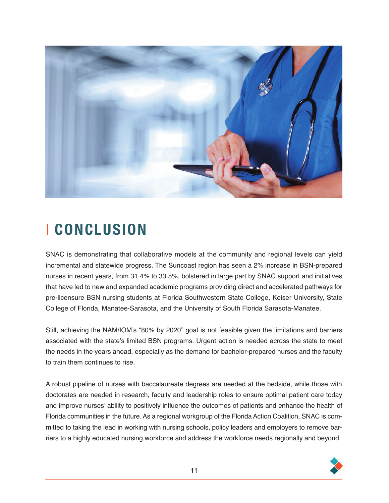

## x **CONCLUSION**

SNAC is demonstrating that collaborative models at the community and regional levels can yield incremental and statewide progress. The Suncoast region has seen a 2% increase in BSN-prepared nurses in recent years, from 31.4% to 33.5%, bolstered in large part by SNAC support and initiatives that have led to new and expanded academic programs providing direct and accelerated pathways for pre-licensure BSN nursing students at Florida Southwestern State College, Keiser University, State College of Florida, Manatee-Sarasota, and the University of South Florida Sarasota-Manatee.

Still, achieving the NAM/IOM's "80% by 2020" goal is not feasible given the limitations and barriers associated with the state's limited BSN programs. Urgent action is needed across the state to meet the needs in the years ahead, especially as the demand for bachelor-prepared nurses and the faculty to train them continues to rise.

A robust pipeline of nurses with baccalaureate degrees are needed at the bedside, while those with doctorates are needed in research, faculty and leadership roles to ensure optimal patient care today and improve nurses' ability to positively influence the outcomes of patients and enhance the health of Florida communities in the future. As a regional workgroup of the Florida Action Coalition, SNAC is committed to taking the lead in working with nursing schools, policy leaders and employers to remove barriers to a highly educated nursing workforce and address the workforce needs regionally and beyond.